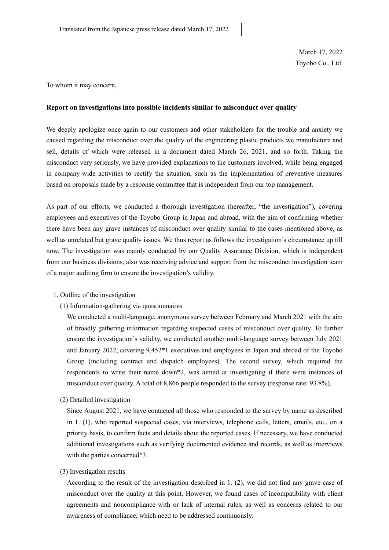March 17, 2022 Toyobo Co., Ltd.

To whom it may concern,

## **Report on investigations into possible incidents similar to misconduct over quality**

We deeply apologize once again to our customers and other stakeholders for the trouble and anxiety we caused regarding the misconduct over the quality of the engineering plastic products we manufacture and sell, details of which were released in a document dated March 26, 2021, and so forth. Taking the misconduct very seriously, we have provided explanations to the customers involved, while being engaged in company-wide activities to rectify the situation, such as the implementation of preventive measures based on proposals made by a response committee that is independent from our top management.

As part of our efforts, we conducted a thorough investigation (hereafter, "the investigation"), covering employees and executives of the Toyobo Group in Japan and abroad, with the aim of confirming whether there have been any grave instances of misconduct over quality similar to the cases mentioned above, as well as unrelated but grave quality issues. We thus report as follows the investigation's circumstance up till now. The investigation was mainly conducted by our Quality Assurance Division, which is independent from our business divisions, also was receiving advice and support from the misconduct investigation team of a major auditing firm to ensure the investigation's validity.

## 1. Outline of the investigation

(1) Information-gathering via questionnaires

We conducted a multi-language, anonymous survey between February and March 2021 with the aim of broadly gathering information regarding suspected cases of misconduct over quality. To further ensure the investigation's validity, we conducted another multi-language survey between July 2021 and January 2022, covering 9,452\*1 executives and employees in Japan and abroad of the Toyobo Group (including contract and dispatch employees). The second survey, which required the respondents to write their name down\*2, was aimed at investigating if there were instances of misconduct over quality. A total of 8,866 people responded to the survey (response rate: 93.8%).

(2) Detailed investigation

Since August 2021, we have contacted all those who responded to the survey by name as described in 1. (1), who reported suspected cases, via interviews, telephone calls, letters, emails, etc., on a priority basis, to confirm facts and details about the reported cases. If necessary, we have conducted additional investigations such as verifying documented evidence and records, as well as interviews with the parties concerned\*3.

## (3) Investigation results

According to the result of the investigation described in 1. (2), we did not find any grave case of misconduct over the quality at this point. However, we found cases of incompatibility with client agreements and noncompliance with or lack of internal rules, as well as concerns related to our awareness of compliance, which need to be addressed continuously.